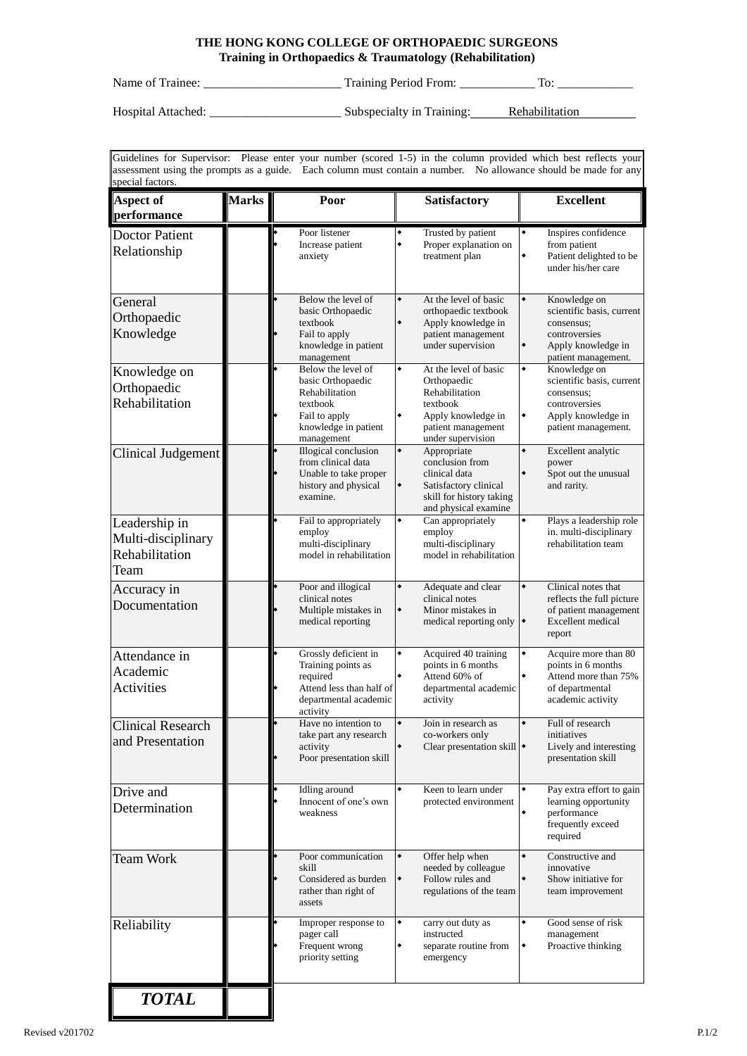## **THE HONG KONG COLLEGE OF ORTHOPAEDIC SURGEONS Training in Orthopaedics & Traumatology (Rehabilitation)**

Name of Trainee: \_\_\_\_\_\_\_\_\_\_\_\_\_\_\_\_\_\_\_\_\_\_ Training Period From: \_\_\_\_\_\_\_\_\_\_\_\_ To: \_\_\_\_\_\_\_\_\_\_\_\_

Hospital Attached: \_\_\_\_\_\_\_\_\_\_\_\_\_\_\_\_\_\_\_\_\_ Subspecialty in Training: Rehabilitation

Guidelines for Supervisor: Please enter your number (scored 1-5) in the column provided which best reflects your assessment using the prompts as a guide. Each column must contain a number. No allowance should be made for any special factors.

| <b>Aspect of</b><br>performance                               | <b>Marks</b> | Poor                                                                                                                         | Satisfactory                                                                                                                                  | <b>Excellent</b>                                                                                                                                      |
|---------------------------------------------------------------|--------------|------------------------------------------------------------------------------------------------------------------------------|-----------------------------------------------------------------------------------------------------------------------------------------------|-------------------------------------------------------------------------------------------------------------------------------------------------------|
| <b>Doctor Patient</b><br>Relationship                         |              | Poor listener<br>Increase patient<br>anxiety                                                                                 | ۰<br>Trusted by patient<br>۰<br>Proper explanation on<br>treatment plan                                                                       | $\bullet$<br>Inspires confidence<br>from patient<br>۰<br>Patient delighted to be<br>under his/her care                                                |
| General<br>Orthopaedic<br>Knowledge                           |              | Below the level of<br>basic Orthopaedic<br>textbook<br>Fail to apply<br>knowledge in patient<br>management                   | At the level of basic<br>۰<br>orthopaedic textbook<br>۰<br>Apply knowledge in<br>patient management<br>under supervision                      | Knowledge on<br>$\blacklozenge$<br>scientific basis, current<br>consensus;<br>controversies<br>$\bullet$<br>Apply knowledge in<br>patient management. |
| Knowledge on<br>Orthopaedic<br>Rehabilitation                 |              | Below the level of<br>basic Orthopaedic<br>Rehabilitation<br>textbook<br>Fail to apply<br>knowledge in patient<br>management | At the level of basic<br>۰<br>Orthopaedic<br>Rehabilitation<br>textbook<br>Apply knowledge in<br>٠<br>patient management<br>under supervision | Knowledge on<br>۰<br>scientific basis, current<br>consensus;<br>controversies<br>٠<br>Apply knowledge in<br>patient management.                       |
| Clinical Judgement                                            |              | Illogical conclusion<br>from clinical data<br>Unable to take proper<br>history and physical<br>examine.                      | ۰<br>Appropriate<br>conclusion from<br>clinical data<br>Satisfactory clinical<br>۰<br>skill for history taking<br>and physical examine        | Excellent analytic<br>۰<br>power<br>$\bullet$<br>Spot out the unusual<br>and rarity.                                                                  |
| Leadership in<br>Multi-disciplinary<br>Rehabilitation<br>Team |              | Fail to appropriately<br>employ<br>multi-disciplinary<br>model in rehabilitation                                             | Can appropriately<br>employ<br>multi-disciplinary<br>model in rehabilitation                                                                  | Plays a leadership role<br>in. multi-disciplinary<br>rehabilitation team                                                                              |
| Accuracy in<br>Documentation                                  |              | Poor and illogical<br>clinical notes<br>Multiple mistakes in<br>medical reporting                                            | Adequate and clear<br>clinical notes<br>۰<br>Minor mistakes in<br>medical reporting only $\blacklozenge$                                      | Clinical notes that<br>reflects the full picture<br>of patient management<br>Excellent medical<br>report                                              |
| Attendance in<br>Academic<br><b>Activities</b>                |              | Grossly deficient in<br>Training points as<br>required<br>Attend less than half of<br>departmental academic<br>activity      | Acquired 40 training<br>۰<br>points in 6 months<br>۰<br>Attend 60% of<br>departmental academic<br>activity                                    | ۰<br>Acquire more than 80<br>points in 6 months<br>۰<br>Attend more than 75%<br>of departmental<br>academic activity                                  |
| <b>Clinical Research</b><br>and Presentation                  |              | Have no intention to<br>take part any research<br>activity<br>Poor presentation skill                                        | Join in research as<br>co-workers only<br>Clear presentation skill $\bullet$<br>٠                                                             | Full of research<br>initiatives<br>Lively and interesting<br>presentation skill                                                                       |
| Drive and<br>Determination                                    |              | Idling around<br>Innocent of one's own<br>weakness                                                                           | Keen to learn under<br>protected environment                                                                                                  | Pay extra effort to gain<br>۰<br>learning opportunity<br>۰<br>performance<br>frequently exceed<br>required                                            |
| <b>Team Work</b>                                              |              | Poor communication<br>skill<br>Considered as burden<br>rather than right of<br>assets                                        | Offer help when<br>$\blacklozenge$<br>needed by colleague<br>Follow rules and<br>$\bullet$<br>regulations of the team                         | Constructive and<br>۰<br>innovative<br>$\bullet$<br>Show initiative for<br>team improvement                                                           |
| Reliability                                                   |              | Improper response to<br>pager call<br>Frequent wrong<br>priority setting                                                     | carry out duty as<br>٠<br>instructed<br>$\blacklozenge$<br>separate routine from<br>emergency                                                 | Good sense of risk<br>۰<br>management<br>Proactive thinking<br>$\bullet$                                                                              |
| <b>TOTAL</b>                                                  |              |                                                                                                                              |                                                                                                                                               |                                                                                                                                                       |